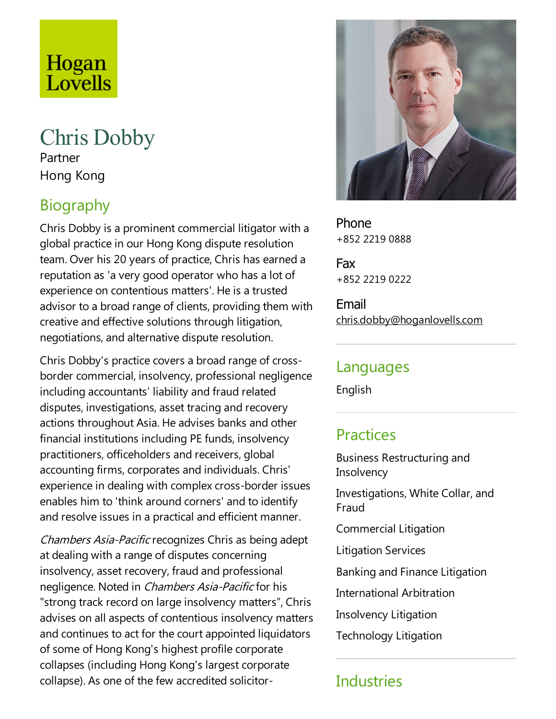# Hogan Lovells

## Chris Dobby

Partner Hong Kong

### Biography

Chris Dobby is a prominent commercial litigator with a global practice in our Hong Kong dispute resolution team. Over his 20 years of practice, Chris has earned a reputation as 'a very good operator who has a lot of experience on contentious matters'. He is a trusted advisor to a broad range of clients, providing them with creative and effective solutions through litigation, negotiations, and alternative dispute resolution.

Chris Dobby's practice covers a broad range of crossborder commercial, insolvency, professional negligence including accountants' liability and fraud related disputes, investigations, asset tracing and recovery actions throughout Asia. He advises banks and other financial institutions including PE funds, insolvency practitioners, officeholders and receivers, global accounting firms, corporates and individuals. Chris' experience in dealing with complex cross-border issues enables him to 'think around corners' and to identify and resolve issues in a practical and efficient manner.

Chambers Asia-Pacificrecognizes Chris as being adept at dealing with a range of disputes concerning insolvency, asset recovery, fraud and professional negligence. Noted in *Chambers Asia-Pacific* for his "strong track record on large insolvency matters", Chris advises on all aspects of contentious insolvency matters and continues to act for the court appointed liquidators of some of Hong Kong's highest profile corporate collapses (including Hong Kong's largest corporate collapse). As one of the few accredited solicitor-



Phone +852 2219 0888

Fax +852 2219 0222

Email chris.dobby@hoganlovells.com

#### Languages

English

#### **Practices**

Business Restructuring and **Insolvency** Investigations, White Collar, and Fraud Commercial Litigation Litigation Services Banking and Finance Litigation

- International Arbitration
- Insolvency Litigation
- Technology Litigation

#### **Industries**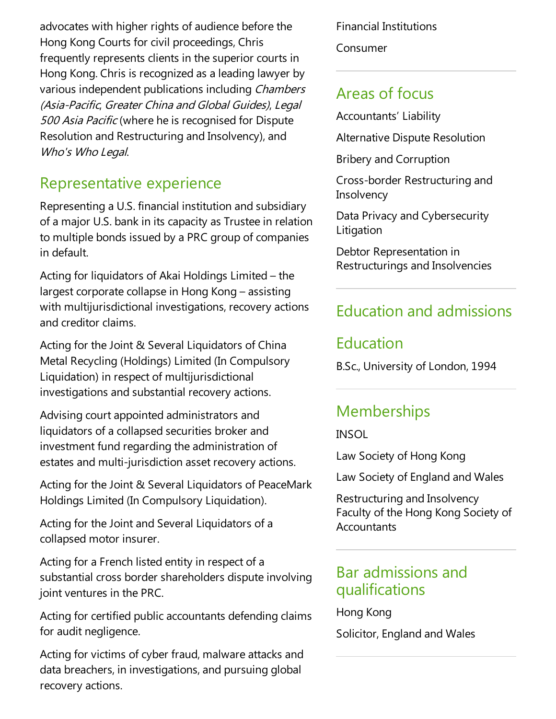advocates with higher rights of audience before the Hong Kong Courts for civil proceedings, Chris frequently represents clients in the superior courts in Hong Kong. Chris is recognized as aleading lawyer by various independent publications including Chambers (Asia-Pacific, Greater China and Global Guides), Legal 500 Asia Pacific (where he is recognised for Dispute Resolution and Restructuring and Insolvency), and Who's Who Legal.

#### Representative experience

Representing a U.S. financial institution and subsidiary of a major U.S. bank in its capacity as Trustee in relation to multiple bonds issued by a PRC group of companies in default.

Acting for liquidators of Akai Holdings Limited – the largest corporate collapse in Hong Kong – assisting with multijurisdictional investigations, recovery actions and creditor claims.

Acting for the Joint & Several Liquidators of China Metal Recycling (Holdings) Limited (In Compulsory Liquidation) in respect of multijurisdictional investigations and substantial recovery actions.

Advising court appointed administrators and liquidators of a collapsed securities broker and investment fund regarding the administration of estates and multi-jurisdiction asset recovery actions.

Acting for the Joint & Several Liquidators of PeaceMark Holdings Limited (In Compulsory Liquidation).

Acting for the Joint and Several Liquidators of a collapsed motor insurer.

Acting for a French listed entity in respect of a substantial cross border shareholders dispute involving joint ventures in the PRC.

Acting for certified public accountants defending claims for audit negligence.

Acting for victims of cyber fraud, malware attacks and data breachers, in investigations, and pursuing global recovery actions.

Financial Institutions Consumer

#### Areas of focus

Accountants' Liability

Alternative Dispute Resolution

Bribery and Corruption

Cross-border Restructuring and **Insolvency** 

Data Privacy and Cybersecurity Litigation

Debtor Representation in Restructurings and Insolvencies

### Education and admissions

#### Education

B.Sc., University of London, 1994

#### **Memberships**

INSOL

Law Society of Hong Kong

Law Society of England and Wales

Restructuring and Insolvency Faculty of the Hong Kong Society of **Accountants** 

#### Bar admissions and qualifications

Hong Kong

Solicitor, England and Wales